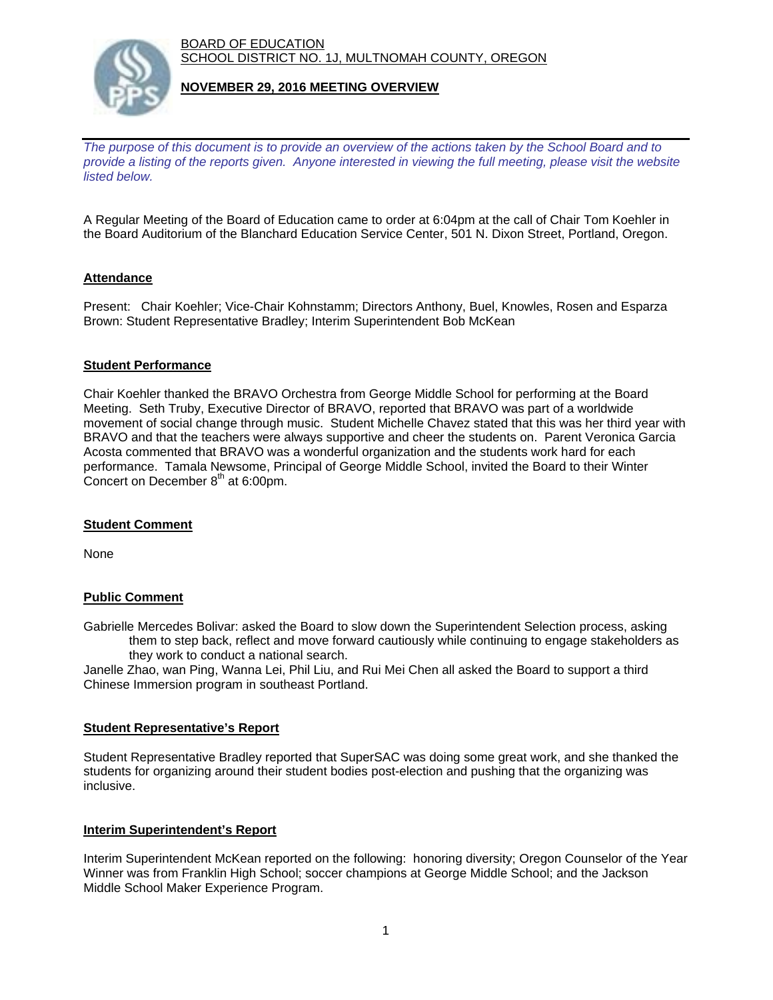BOARD OF EDUCATION SCHOOL DISTRICT NO. 1J, MULTNOMAH COUNTY, OREGON



## **NOVEMBER 29, 2016 MEETING OVERVIEW**

*The purpose of this document is to provide an overview of the actions taken by the School Board and to provide a listing of the reports given. Anyone interested in viewing the full meeting, please visit the website listed below.*

A Regular Meeting of the Board of Education came to order at 6:04pm at the call of Chair Tom Koehler in the Board Auditorium of the Blanchard Education Service Center, 501 N. Dixon Street, Portland, Oregon.

# **Attendance**

Present: Chair Koehler; Vice-Chair Kohnstamm; Directors Anthony, Buel, Knowles, Rosen and Esparza Brown: Student Representative Bradley; Interim Superintendent Bob McKean

#### **Student Performance**

Chair Koehler thanked the BRAVO Orchestra from George Middle School for performing at the Board Meeting. Seth Truby, Executive Director of BRAVO, reported that BRAVO was part of a worldwide movement of social change through music. Student Michelle Chavez stated that this was her third year with BRAVO and that the teachers were always supportive and cheer the students on. Parent Veronica Garcia Acosta commented that BRAVO was a wonderful organization and the students work hard for each performance. Tamala Newsome, Principal of George Middle School, invited the Board to their Winter Concert on December  $8<sup>th</sup>$  at 6:00pm.

#### **Student Comment**

None

# **Public Comment**

Gabrielle Mercedes Bolivar: asked the Board to slow down the Superintendent Selection process, asking them to step back, reflect and move forward cautiously while continuing to engage stakeholders as they work to conduct a national search.

Janelle Zhao, wan Ping, Wanna Lei, Phil Liu, and Rui Mei Chen all asked the Board to support a third Chinese Immersion program in southeast Portland.

#### **Student Representative's Report**

Student Representative Bradley reported that SuperSAC was doing some great work, and she thanked the students for organizing around their student bodies post-election and pushing that the organizing was inclusive.

#### **Interim Superintendent's Report**

Interim Superintendent McKean reported on the following: honoring diversity; Oregon Counselor of the Year Winner was from Franklin High School; soccer champions at George Middle School; and the Jackson Middle School Maker Experience Program.